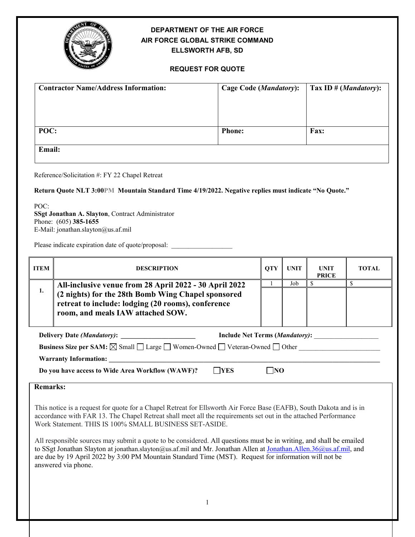

## **DEPARTMENT OF THE AIR FORCE AIR FORCE GLOBAL STRIKE COMMAND ELLSWORTH AFB, SD**

### **REQUEST FOR QUOTE**

| <b>Contractor Name/Address Information:</b> | <b>Cage Code (Mandatory):</b> | $\prod$ Tax ID # ( <i>Mandatory</i> ): |
|---------------------------------------------|-------------------------------|----------------------------------------|
| POC:                                        | <b>Phone:</b>                 | <b>Fax:</b>                            |
| Email:                                      |                               |                                        |

Reference/Solicitation #: FY 22 Chapel Retreat

**Return Quote NLT 3:00PM Mountain Standard Time 4/19/2022. Negative replies must indicate "No Quote."**

POC: **SSgt Jonathan A. Slayton**, Contract Administrator Phone: (605) **385-1655** E-Mail: jonathan.slayton@us.af.mil

Please indicate expiration date of quote/proposal: \_\_\_\_\_\_\_\_\_\_\_\_\_\_\_\_\_\_\_\_\_\_\_\_\_\_\_\_\_

| <b>ITEM</b>                                                                                                       | <b>DESCRIPTION</b>                                                                                                 | <b>OTY</b> | <b>UNIT</b> | <b>UNIT</b><br><b>PRICE</b> | <b>TOTAL</b> |  |
|-------------------------------------------------------------------------------------------------------------------|--------------------------------------------------------------------------------------------------------------------|------------|-------------|-----------------------------|--------------|--|
|                                                                                                                   | All-inclusive venue from 28 April 2022 - 30 April 2022<br>1.<br>(2 nights) for the 28th Bomb Wing Chapel sponsored |            | Job         |                             |              |  |
|                                                                                                                   |                                                                                                                    |            |             |                             |              |  |
|                                                                                                                   | retreat to include: lodging (20 rooms), conference                                                                 |            |             |                             |              |  |
|                                                                                                                   | room, and meals IAW attached SOW.                                                                                  |            |             |                             |              |  |
|                                                                                                                   |                                                                                                                    |            |             |                             |              |  |
| <b>Include Net Terms (Mandatory):</b><br><b>Delivery Date (Mandatory):</b>                                        |                                                                                                                    |            |             |                             |              |  |
| <b>Business Size per SAM:</b> $\boxtimes$ Small $\Box$ Large $\Box$ Women-Owned $\Box$ Veteran-Owned $\Box$ Other |                                                                                                                    |            |             |                             |              |  |
| <b>Warranty Information:</b>                                                                                      |                                                                                                                    |            |             |                             |              |  |
| <b>YES</b><br>Do you have access to Wide Area Workflow (WAWF)?                                                    |                                                                                                                    |            |             |                             |              |  |

**Remarks:**

This notice is a request for quote for a Chapel Retreat for Ellsworth Air Force Base (EAFB), South Dakota and is in accordance with FAR 13. The Chapel Retreat shall meet all the requirements set out in the attached Performance Work Statement. THIS IS 100% SMALL BUSINESS SET-ASIDE.

All responsible sources may submit a quote to be considered. All questions must be in writing, and shall be emailed to SSgt Jonathan Slayton at jonathan.slayton@us.af.mil and Mr. Jonathan Allen at [Jonathan.Allen.36@us.af.mil,](mailto:Jonathan.Allen.36@us.af.mil) and are due by 19 April 2022 by 3:00 PM Mountain Standard Time (MST). Request for information will not be answered via phone.